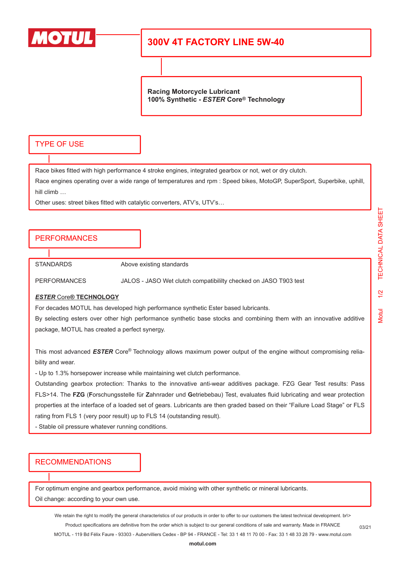

# **300V 4T FACTORY LINE 5W-40**

**Racing Motorcycle Lubricant 100% Synthetic -** *ESTER* **Core® Technology**

### TYPE OF USE

Race bikes fitted with high performance 4 stroke engines, integrated gearbox or not, wet or dry clutch.

Race engines operating over a wide range of temperatures and rpm : Speed bikes, MotoGP, SuperSport, Superbike, uphill, hill climb …

Other uses: street bikes fitted with catalytic converters, ATV's, UTV's…

## **PERFORMANCES**

STANDARDS Above existing standards

PERFORMANCES JALOS - JASO Wet clutch compatibililty checked on JASO T903 test

#### *ESTER* Core**® TECHNOLOGY**

For decades MOTUL has developed high performance synthetic Ester based lubricants.

By selecting esters over other high performance synthetic base stocks and combining them with an innovative additive package, MOTUL has created a perfect synergy.

This most advanced *ESTER* Core® Technology allows maximum power output of the engine without compromising reliability and wear.

- Up to 1.3% horsepower increase while maintaining wet clutch performance.

Outstanding gearbox protection: Thanks to the innovative anti-wear additives package. FZG Gear Test results: Pass FLS>14. The **FZG** (**F**orschungsstelle für **Z**ahnrader und **G**etriebebau) Test, evaluates fluid lubricating and wear protection properties at the interface of a loaded set of gears. Lubricants are then graded based on their "Failure Load Stage" or FLS rating from FLS 1 (very poor result) up to FLS 14 (outstanding result).

- Stable oil pressure whatever running conditions.

### RECOMMENDATIONS

For optimum engine and gearbox performance, avoid mixing with other synthetic or mineral lubricants.

Oil change: according to your own use.

We retain the right to modify the general characteristics of our products in order to offer to our customers the latest technical development. br\> Product specifications are definitive from the order which is subject to our general conditions of sale and warranty. Made in FRANCE

MOTUL - 119 Bd Félix Faure - 93303 - Aubervilliers Cedex - BP 94 - FRANCE - Tel: 33 1 48 11 70 00 - Fax: 33 1 48 33 28 79 - www.motul.com

03/21